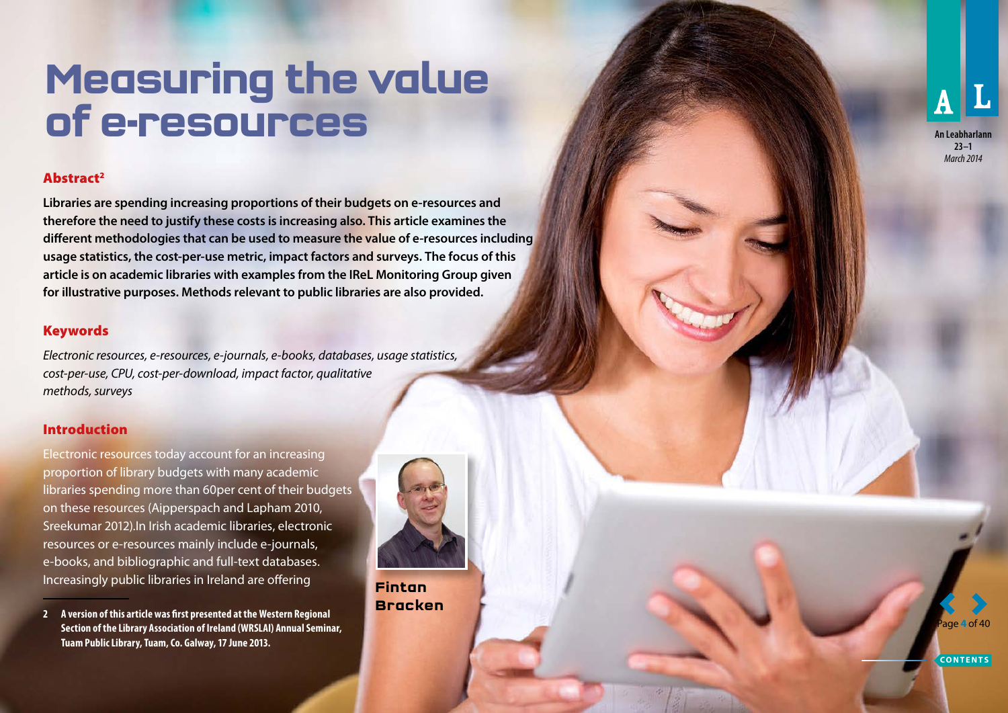# **Measuring the value of e-resources**

## Abstract 2

**Libraries are spending increasing proportions of their budgets on e-resources and therefore the need to justify these costs is increasing also. This article examines the different methodologies that can be used to measure the value of e-resources including usage statistics, the cost-per-use metric, impact factors and surveys. The focus of this article is on academic libraries with examples from the IReL Monitoring Group given for illustrative purposes. Methods relevant to public libraries are also provided.**

## **Keywords**

*Electronic resources, e-resources, e-journals, e-books, databases, usage statistics, cost-per-use, CPU, cost-per-download, impact factor, qualitative methods, surveys*

#### Introduction

Electronic resources today account for an increasing proportion of library budgets with many academic libraries spending more than 60per cent of their budgets on these resources (Aipperspach and Lapham 2010, Sreekumar 2012).In Irish academic libraries, electronic resources or e-resources mainly include e-journals, e-books, and bibliographic and full-text databases. Increasingly public libraries in Ireland are offering

**2 A version of this article was first presented at the Western Regional Section of the Library Association of Ireland (WRSLAI) Annual Seminar, Tuam Public Library, Tuam, Co. Galway, 17 June 2013.**



**Fintan Bracken**  **An Leabharlann**

**23–1** *March 2014*

Page **4** of 40

**CONTENTS**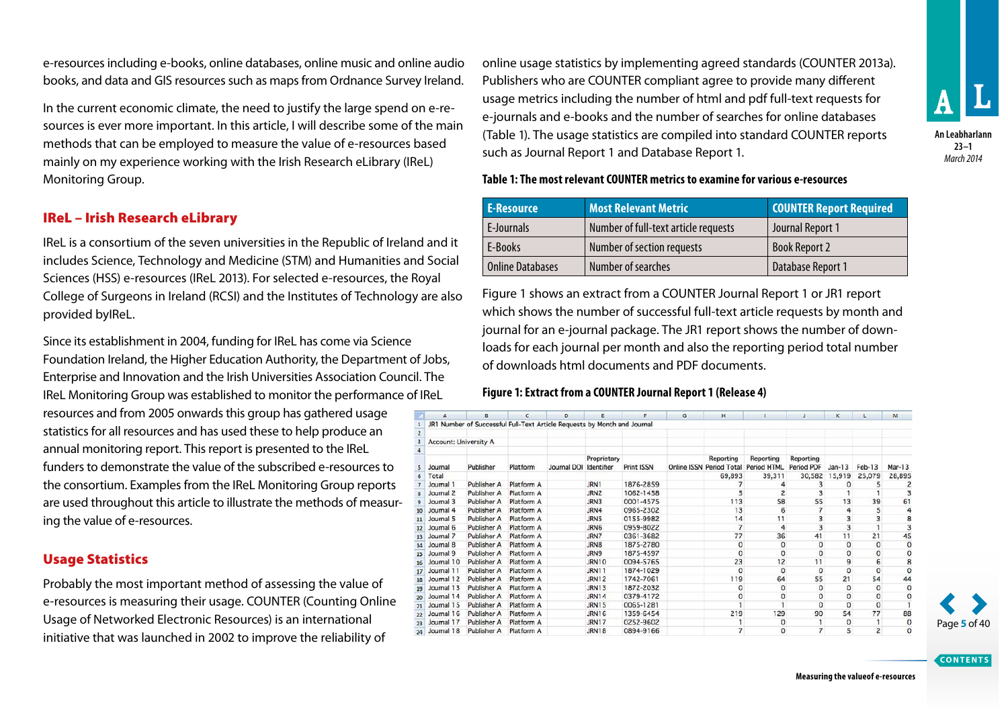e-resources including e-books, online databases, online music and online audio books, and data and GIS resources such as maps from Ordnance Survey Ireland.

In the current economic climate, the need to justify the large spend on e-resources is ever more important. In this article, I will describe some of the main methods that can be employed to measure the value of e-resources based mainly on my experience working with the Irish Research eLibrary (IReL) Monitoring Group.

#### IReL – Irish Research eLibrary

IReL is a consortium of the seven universities in the Republic of Ireland and it includes Science, Technology and Medicine (STM) and Humanities and Social Sciences (HSS) e-resources (IReL 2013). For selected e-resources, the Royal College of Surgeons in Ireland (RCSI) and the Institutes of Technology are also provided byIReL.

Since its establishment in 2004, funding for IReL has come via Science Foundation Ireland, the Higher Education Authority, the Department of Jobs, Enterprise and Innovation and the Irish Universities Association Council. The IReL Monitoring Group was established to monitor the performance of IReL

resources and from 2005 onwards this group has gathered usage statistics for all resources and has used these to help produce an annual monitoring report. This report is presented to the IReL funders to demonstrate the value of the subscribed e-resources to the consortium. Examples from the IReL Monitoring Group reports are used throughout this article to illustrate the methods of measuring the value of e-resources.

#### Usage Statistics

Probably the most important method of assessing the value of e-resources is measuring their usage. COUNTER (Counting Online Usage of Networked Electronic Resources) is an international initiative that was launched in 2002 to improve the reliability of

online usage statistics by implementing agreed standards (COUNTER 2013a). Publishers who are COUNTER compliant agree to provide many different usage metrics including the number of html and pdf full-text requests for e-journals and e-books and the number of searches for online databases (Table 1). The usage statistics are compiled into standard COUNTER reports such as Journal Report 1 and Database Report 1.



**23–1** *March 2014*

**Table 1: The most relevant COUNTER metrics to examine for various e-resources**

| <b>E-Resource</b>       | ' Most Relevant Metric .             | <b>COUNTER Report Required</b> |
|-------------------------|--------------------------------------|--------------------------------|
| E-Journals              | Number of full-text article requests | Journal Report 1               |
| E-Books                 | Number of section requests           | <b>Book Report 2</b>           |
| <b>Online Databases</b> | Number of searches                   | Database Report 1              |

Figure 1 shows an extract from a COUNTER Journal Report 1 or JR1 report which shows the number of successful full-text article requests by month and journal for an e-journal package. The JR1 report shows the number of downloads for each journal per month and also the reporting period total number of downloads html documents and PDF documents.

#### **Figure 1: Extract from a COUNTER Journal Report 1 (Release 4)**

|                         | A                            | B                                                                        | c          | D           | E                         |                   | G | н         |                                                   |                         | κ        |                | M              |
|-------------------------|------------------------------|--------------------------------------------------------------------------|------------|-------------|---------------------------|-------------------|---|-----------|---------------------------------------------------|-------------------------|----------|----------------|----------------|
|                         |                              | JR1 Number of Successful Full-Text Article Requests by Month and Journal |            |             |                           |                   |   |           |                                                   |                         |          |                |                |
| $\overline{2}$          |                              |                                                                          |            |             |                           |                   |   |           |                                                   |                         |          |                |                |
| $\overline{\mathbf{3}}$ | <b>Account: University A</b> |                                                                          |            |             |                           |                   |   |           |                                                   |                         |          |                |                |
|                         |                              |                                                                          |            |             |                           |                   |   |           |                                                   |                         |          |                |                |
| 5                       | Journal                      | Publisher                                                                | Platform   | Journal DOI | Proprietary<br>Identifier | <b>Print ISSN</b> |   | Reporting | Reporting<br>Online ISSN Period Total Period HTML | Reporting<br>Period PDF | $Jan-13$ | $Feb-13$       | $Mar-13$       |
| 6                       | Total                        |                                                                          |            |             |                           |                   |   | 69.893    | 39,311                                            | 30,582                  | 15,919   | 25,079         | 28,895         |
|                         | Journal 1                    | Publisher A                                                              | Platform A |             | JRN1                      | 1876-2859         |   |           |                                                   |                         | 0        |                |                |
| $\overline{\mathbf{8}}$ | Journal 2                    | Publisher A                                                              | Platform A |             | JRN <sub>2</sub>          | 1062-1458         |   |           |                                                   |                         |          |                |                |
|                         | Journal 3                    | Publisher A                                                              | Platform A |             | JRN3                      | 0001-4575         |   | 113       | 58                                                | 55                      | 13       | 39             | 61             |
| 10                      | Journal 4                    | Publisher A                                                              | Platform A |             | JRN4                      | 0965-2302         |   | 13        | 6                                                 |                         | 4        | 5              | 4              |
| 11                      | Journal 5                    | Publisher A                                                              | Platform A |             | JRN <sub>5</sub>          | 0155-9982         |   | 14        | 11                                                |                         | 3        |                | 8              |
| 12                      | Journal 6                    | Publisher A                                                              | Platform A |             | JRN6                      | 0959-8022         |   |           | 4                                                 | 3                       | 3        |                | 3              |
| 13                      | Journal 7                    | Publisher A                                                              | Platform A |             | JRN7                      | 0361-3682         |   | 77        | 36                                                | 41                      | 11       | 21             | 45             |
| 14                      | Journal 8                    | Publisher A                                                              | Platform A |             | JRN8                      | 1875-2780         |   | 0         | $\circ$                                           | o                       | 0        | o              | 0              |
| 15                      | Journal 9                    | Publisher A                                                              | Platform A |             | JRN9                      | 1875-4597         |   | $\Omega$  | 0                                                 | $\Omega$                | 0        | 0              | $\bf{0}$       |
|                         | Journal 10                   | Publisher A                                                              | Platform A |             | JRN10                     | 0094-5765         |   | 23        | 12                                                | 11                      | 9        | 6              | 8              |
| 17                      | Journal 11                   | Publisher A                                                              | Platform A |             | JRN11                     | 1874-1029         |   | $\Omega$  | $\Omega$                                          | $\Omega$                | 0        | 0              | 0              |
|                         | Journal 12                   | Publisher A                                                              | Platform A |             | JRN12                     | 1742-7061         |   | 119       | 64                                                | 55                      | 21       | 54             | 44             |
|                         | Journal 13                   | Publisher A                                                              | Platform A |             | <b>JRN13</b>              | 1872-2032         |   | 0         | $^{\circ}$                                        | $\circ$                 | n        | 0              | 0              |
| 20                      | Journal 14                   | Publisher A                                                              | Platform A |             | <b>JRN14</b>              | 0379-4172         |   | 0         |                                                   | 0                       | $\Omega$ | 0              | 0              |
| 21                      | Journal 15                   | Publisher A                                                              | Platform A |             | JRN15                     | 0065-1281         |   |           |                                                   | 0                       | 0        | 0              |                |
| 22                      | Journal 16                   | Publisher A                                                              | Platform A |             | <b>JRN16</b>              | 1359-6454         |   | 219       | 129                                               | 90                      | 54       | 77             | 88             |
| 23                      | Journal 17                   | Publisher A                                                              | Platform A |             | <b>JRN17</b>              | 0252-9602         |   |           | $\Omega$                                          |                         | 0        |                | 0              |
| 24                      | Journal 18                   | Publisher A                                                              | Platform A |             | <b>JRN18</b>              | 0894-9166         |   |           | 0                                                 | 7                       | 5        | $\overline{2}$ | $\overline{0}$ |



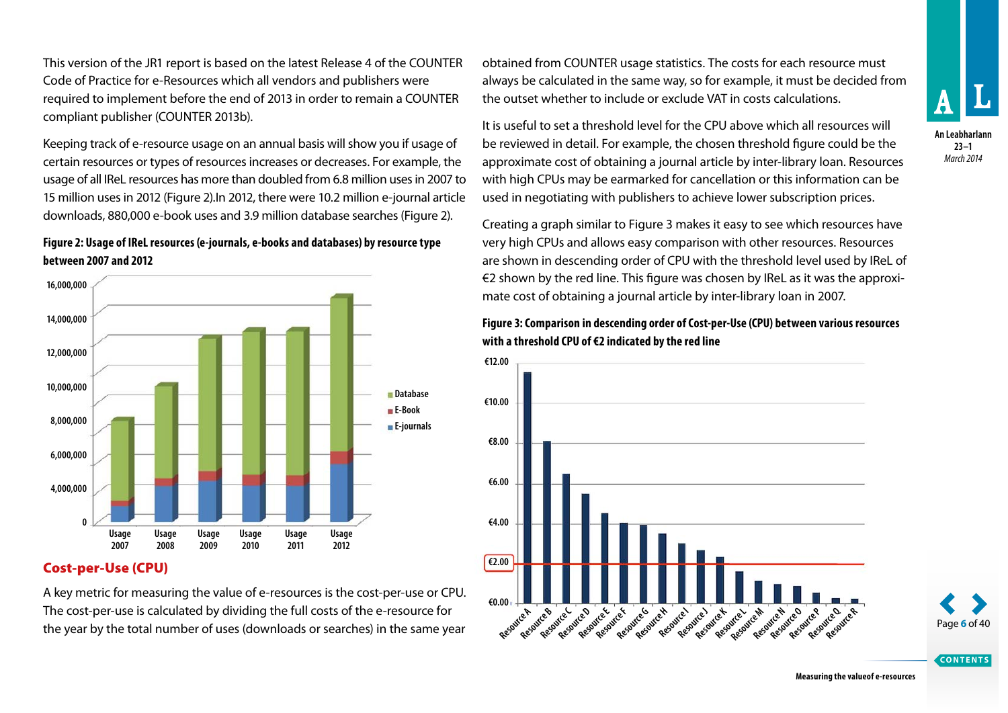This version of the JR1 report is based on the latest Release 4 of the COUNTER Code of Practice for e-Resources which all vendors and publishers were required to implement before the end of 2013 in order to remain a COUNTER compliant publisher (COUNTER 2013b).

Keeping track of e-resource usage on an annual basis will show you if usage of certain resources or types of resources increases or decreases. For example, the usage of all IReL resources has more than doubled from 6.8 million uses in 2007 to 15 million uses in 2012 (Figure 2).In 2012, there were 10.2 million e-journal article downloads, 880,000 e-book uses and 3.9 million database searches (Figure 2).

#### **Figure 2: Usage of IReL resources (e-journals, e-books and databases) by resource type between 2007 and 2012**



#### Cost-per-Use (CPU)

A key metric for measuring the value of e-resources is the cost-per-use or CPU. The cost-per-use is calculated by dividing the full costs of the e-resource for the year by the total number of uses (downloads or searches) in the same year

obtained from COUNTER usage statistics. The costs for each resource must always be calculated in the same way, so for example, it must be decided from the outset whether to include or exclude VAT in costs calculations.

It is useful to set a threshold level for the CPU above which all resources will be reviewed in detail. For example, the chosen threshold figure could be the approximate cost of obtaining a journal article by inter-library loan. Resources with high CPUs may be earmarked for cancellation or this information can be used in negotiating with publishers to achieve lower subscription prices.

Creating a graph similar to Figure 3 makes it easy to see which resources have very high CPUs and allows easy comparison with other resources. Resources are shown in descending order of CPU with the threshold level used by IReL of €2 shown by the red line. This figure was chosen by IReL as it was the approximate cost of obtaining a journal article by inter-library loan in 2007.



## **Figure 3: Comparison in descending order of Cost-per-Use (CPU) between various resources with a threshold CPU of €2 indicated by the red line**

Page **6** of 40

**CONTENTS**

**Measuring the valueof e-resources**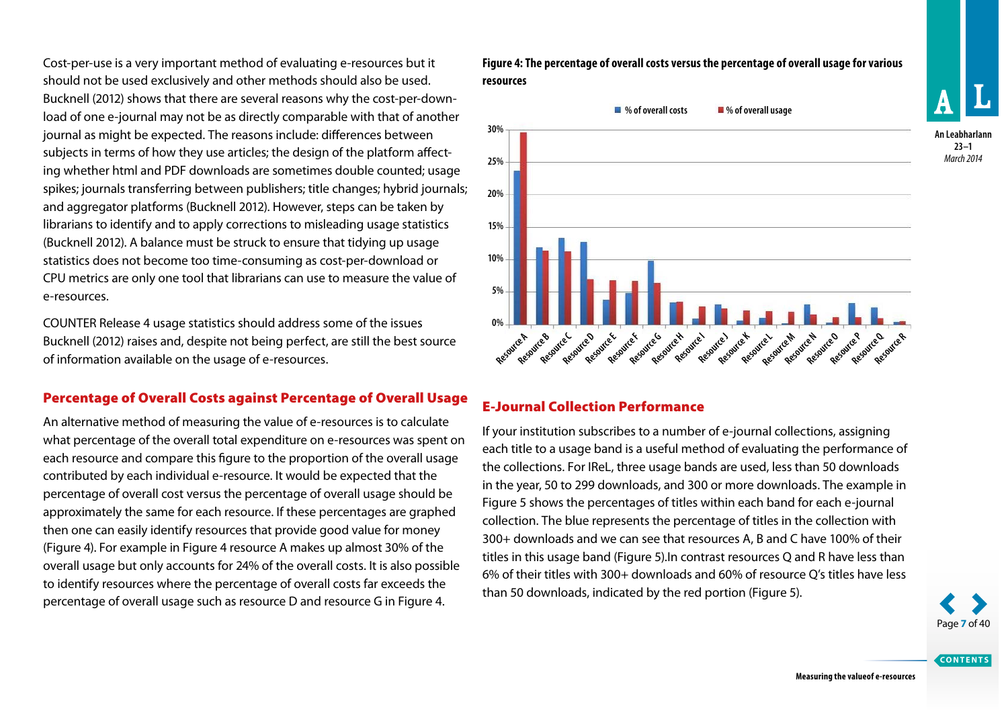Cost-per-use is a very important method of evaluating e-resources but it should not be used exclusively and other methods should also be used. Bucknell (2012) shows that there are several reasons why the cost-per-download of one e-journal may not be as directly comparable with that of another journal as might be expected. The reasons include: differences between subjects in terms of how they use articles; the design of the platform affecting whether html and PDF downloads are sometimes double counted; usage spikes; journals transferring between publishers; title changes; hybrid journals; and aggregator platforms (Bucknell 2012). However, steps can be taken by librarians to identify and to apply corrections to misleading usage statistics (Bucknell 2012). A balance must be struck to ensure that tidying up usage statistics does not become too time-consuming as cost-per-download or CPU metrics are only one tool that librarians can use to measure the value of e-resources.

COUNTER Release 4 usage statistics should address some of the issues Bucknell (2012) raises and, despite not being perfect, are still the best source of information available on the usage of e-resources.

### Percentage of Overall Costs against Percentage of Overall Usage

An alternative method of measuring the value of e-resources is to calculate what percentage of the overall total expenditure on e-resources was spent on each resource and compare this figure to the proportion of the overall usage contributed by each individual e-resource. It would be expected that the percentage of overall cost versus the percentage of overall usage should be approximately the same for each resource. If these percentages are graphed then one can easily identify resources that provide good value for money (Figure 4). For example in Figure 4 resource A makes up almost 30% of the overall usage but only accounts for 24% of the overall costs. It is also possible to identify resources where the percentage of overall costs far exceeds the percentage of overall usage such as resource D and resource G in Figure 4.

**Figure 4: The percentage of overall costs versus the percentage of overall usage for various resources**



## E-Journal Collection Performance

If your institution subscribes to a number of e-journal collections, assigning each title to a usage band is a useful method of evaluating the performance of the collections. For IReL, three usage bands are used, less than 50 downloads in the year, 50 to 299 downloads, and 300 or more downloads. The example in Figure 5 shows the percentages of titles within each band for each e-journal collection. The blue represents the percentage of titles in the collection with 300+ downloads and we can see that resources A, B and C have 100% of their titles in this usage band (Figure 5).In contrast resources Q and R have less than 6% of their titles with 300+ downloads and 60% of resource Q's titles have less than 50 downloads, indicated by the red portion (Figure 5).



**CONTENTS**

**An Leabharlann 23–1** *March 2014*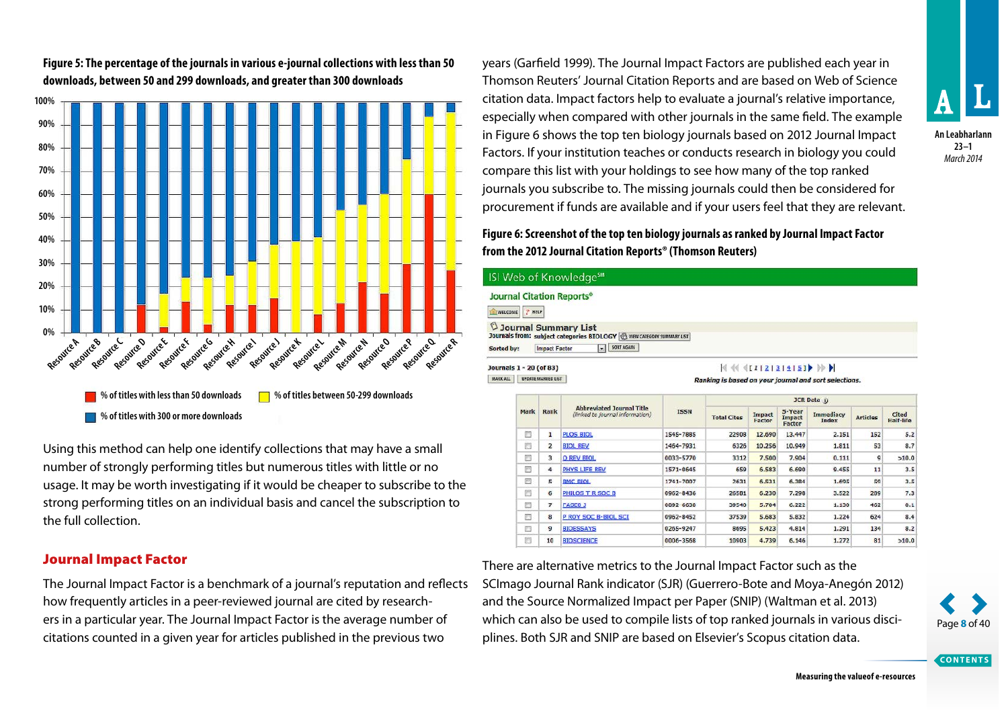

**Figure 5: The percentage of the journals in various e-journal collections with less than 50 downloads, between 50 and 299 downloads, and greater than 300 downloads**

Using this method can help one identify collections that may have a small number of strongly performing titles but numerous titles with little or no usage. It may be worth investigating if it would be cheaper to subscribe to the strong performing titles on an individual basis and cancel the subscription to the full collection.

#### Journal Impact Factor

The Journal Impact Factor is a benchmark of a journal's reputation and reflects how frequently articles in a peer-reviewed journal are cited by researchers in a particular year. The Journal Impact Factor is the average number of citations counted in a given year for articles published in the previous two

years (Garfield 1999). The Journal Impact Factors are published each year in Thomson Reuters' Journal Citation Reports and are based on Web of Science citation data. Impact factors help to evaluate a journal's relative importance, especially when compared with other journals in the same field. The example in Figure 6 shows the top ten biology journals based on 2012 Journal Impact Factors. If your institution teaches or conducts research in biology you could compare this list with your holdings to see how many of the top ranked journals you subscribe to. The missing journals could then be considered for procurement if funds are available and if your users feel that they are relevant.

## **Figure 6: Screenshot of the top ten biology journals as ranked by Journal Impact Factor from the 2012 Journal Citation Reports® (Thomson Reuters)**

 $\vert$  ISI

Êv  $\begin{tabular}{|c|c|} \hline $\mathbb{C}$ \\\hline \end{tabular}$ Jour Sort Jour MARI

|                         |                                    |                      | ISI Web of Knowledge <sup>5™</sup>                                                                                                              |             |                                                       |                  |                            |                           |                 |                           |
|-------------------------|------------------------------------|----------------------|-------------------------------------------------------------------------------------------------------------------------------------------------|-------------|-------------------------------------------------------|------------------|----------------------------|---------------------------|-----------------|---------------------------|
| <b>WELCOME</b>          | <b>7 HELP</b>                      |                      | <b>Journal Citation Reports®</b>                                                                                                                |             |                                                       |                  |                            |                           |                 |                           |
| Sorted by:              |                                    | <b>Impact Factor</b> | <b>Journal Summary List</b><br>Journals from: subject categories BIOLOGY & VIEW CATEGORY SUMMARY LIST<br>SORT AGAIN<br>$\overline{\phantom{a}}$ |             |                                                       |                  |                            |                           |                 |                           |
| Journals 1 - 20 (of 83) |                                    |                      |                                                                                                                                                 |             | $\frac{1}{4}$ $($ $($ $($ $112121314151)$ $)$         |                  |                            |                           |                 |                           |
| <b>MARK ALL</b>         |                                    | UPDATE MARKED LIST   |                                                                                                                                                 |             | Ranking is based on your journal and sort selections. |                  |                            |                           |                 |                           |
|                         |                                    |                      |                                                                                                                                                 | JCR Data i) |                                                       |                  |                            |                           |                 |                           |
|                         | Mark                               | <b>Rank</b>          | <b>Abbreviated Journal Title</b><br>(linked to journal information)                                                                             | <b>ISSN</b> | <b>Total Cites</b>                                    | Impact<br>Factor | 5-Year<br>Impact<br>Factor | <b>Immediacv</b><br>Index | <b>Articles</b> | <b>Cited</b><br>Half-life |
|                         | n                                  | ı                    | <b>PLOS BIOL</b>                                                                                                                                | 1545-7885   | 22908                                                 | 12,690           | 13.447                     | 2.151                     | 152             | 5.2                       |
|                         | 同                                  | $\overline{z}$       | <b>BIOL REV</b>                                                                                                                                 | 1464-7931   | 6326                                                  | 10,256           | 10,949                     | 1.811                     | 53              | 8.7                       |
|                         | F3                                 | 3                    | O REV BIOL                                                                                                                                      | 0033-5770   | 3312                                                  | 7,500            | 7.904                      | 0.111                     | 9               | >10.0                     |
|                         | E)                                 | 4                    | PHYS LIFE REV                                                                                                                                   | 1571-0645   | 659                                                   | 6.583            | 6.690                      | 9.455                     | 11              | 3.5                       |
|                         | $\left\langle \Gamma\right\rangle$ | 5                    | <b>BMC BIOL</b>                                                                                                                                 | 1741-7007   | 2631                                                  | 6.531            | 6.384                      | 1.695                     | 59              | 3.5                       |
|                         | 同                                  | 6                    | PHILOS T R SOC B                                                                                                                                | 0962-8436   | 26581                                                 | 6,230            | 7.298                      | 3.522                     | 289             | 7.3                       |
|                         | 贾                                  | $\overline{z}$       | <b>FASED J</b>                                                                                                                                  | 0092 6630   | 39540                                                 | 5.704            | 6.222                      | 1,130                     | 462             | 0.1                       |
|                         | T.                                 | 8                    | P ROY SOC B-BIOL SCI                                                                                                                            | 0962-8452   | 37539                                                 | 5.683            | 5.832                      | 1.224                     | 624             | 8.4                       |
|                         | m                                  | 9                    | <b>BIOESSAYS</b>                                                                                                                                | 0265-9247   | 8695                                                  | 5.423            | 4.814                      | 1.291                     | 134             | 8.2                       |
|                         | 同                                  | 10                   | <b>BIOSCIENCE</b>                                                                                                                               | 0006-3568   | 10903                                                 | 4,739            | 6.146                      | 1,272                     | 81              | >10.0                     |

There are alternative metrics to the Journal Impact Factor such as the SCImago Journal Rank indicator (SJR) (Guerrero-Bote and Moya-Anegón 2012) and the Source Normalized Impact per Paper (SNIP) (Waltman et al. 2013) which can also be used to compile lists of top ranked journals in various disciplines. Both SJR and SNIP are based on Elsevier's Scopus citation data.



**CONTENTS**

**An Leabharlann 23–1** *March 2014*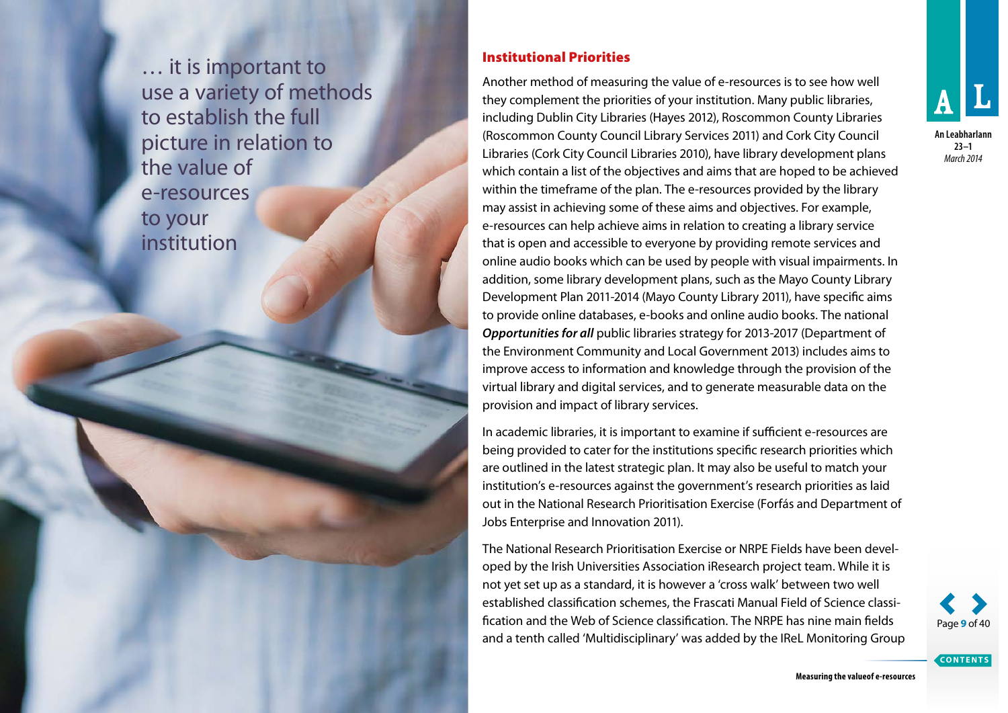… it is important to use a variety of methods to establish the full picture in relation to the value of e-resources to your institution

#### Institutional Priorities

Another method of measuring the value of e-resources is to see how well they complement the priorities of your institution. Many public libraries, including Dublin City Libraries (Hayes 2012), Roscommon County Libraries (Roscommon County Council Library Services 2011) and Cork City Council Libraries (Cork City Council Libraries 2010), have library development plans which contain a list of the objectives and aims that are hoped to be achieved within the timeframe of the plan. The e-resources provided by the library may assist in achieving some of these aims and objectives. For example, e-resources can help achieve aims in relation to creating a library service that is open and accessible to everyone by providing remote services and online audio books which can be used by people with visual impairments. In addition, some library development plans, such as the Mayo County Library Development Plan 2011-2014 (Mayo County Library 2011), have specific aims to provide online databases, e-books and online audio books. The national *Opportunities for all* public libraries strategy for 2013-2017 (Department of the Environment Community and Local Government 2013) includes aims to improve access to information and knowledge through the provision of the virtual library and digital services, and to generate measurable data on the provision and impact of library services.

In academic libraries, it is important to examine if sufficient e-resources are being provided to cater for the institutions specific research priorities which are outlined in the latest strategic plan. It may also be useful to match your institution's e-resources against the government's research priorities as laid out in the National Research Prioritisation Exercise (Forfás and Department of Jobs Enterprise and Innovation 2011).

The National Research Prioritisation Exercise or NRPE Fields have been developed by the Irish Universities Association iResearch project team. While it is not yet set up as a standard, it is however a 'cross walk' between two well established classification schemes, the Frascati Manual Field of Science classification and the Web of Science classification. The NRPE has nine main fields and a tenth called 'Multidisciplinary' was added by the IReL Monitoring Group



**An Leabharlann 23–1** *March 2014*



**CONTENTS**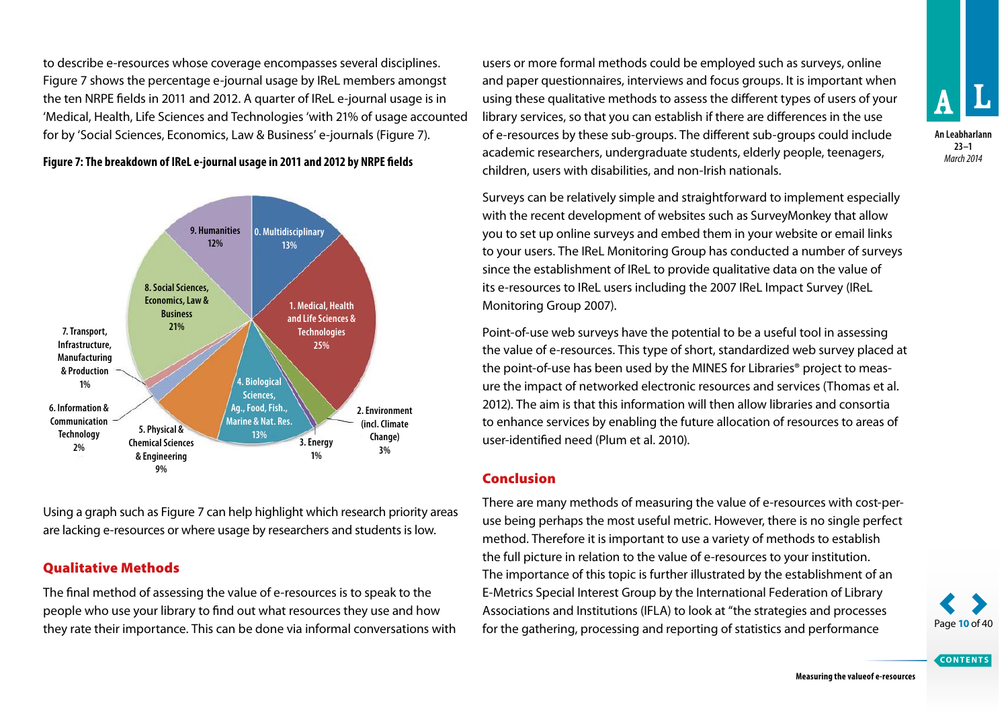to describe e-resources whose coverage encompasses several disciplines. Figure 7 shows the percentage e-journal usage by IReL members amongst the ten NRPE fields in 2011 and 2012. A quarter of IReL e-journal usage is in 'Medical, Health, Life Sciences and Technologies 'with 21% of usage accounted for by 'Social Sciences, Economics, Law & Business' e-journals (Figure 7).

**Figure 7: The breakdown of IReL e-journal usage in 2011 and 2012 by NRPE fields**



Using a graph such as Figure 7 can help highlight which research priority areas are lacking e-resources or where usage by researchers and students is low.

# Qualitative Methods

The final method of assessing the value of e-resources is to speak to the people who use your library to find out what resources they use and how they rate their importance. This can be done via informal conversations with users or more formal methods could be employed such as surveys, online and paper questionnaires, interviews and focus groups. It is important when using these qualitative methods to assess the different types of users of your library services, so that you can establish if there are differences in the use of e-resources by these sub-groups. The different sub-groups could include academic researchers, undergraduate students, elderly people, teenagers, children, users with disabilities, and non-Irish nationals.

Surveys can be relatively simple and straightforward to implement especially with the recent development of websites such as SurveyMonkey that allow you to set up online surveys and embed them in your website or email links to your users. The IReL Monitoring Group has conducted a number of surveys since the establishment of IReL to provide qualitative data on the value of its e-resources to IReL users including the 2007 IReL Impact Survey (IReL Monitoring Group 2007).

Point-of-use web surveys have the potential to be a useful tool in assessing the value of e-resources. This type of short, standardized web survey placed at the point-of-use has been used by the MINES for Libraries® project to measure the impact of networked electronic resources and services (Thomas et al. 2012). The aim is that this information will then allow libraries and consortia to enhance services by enabling the future allocation of resources to areas of user-identified need (Plum et al. 2010).

# Conclusion

There are many methods of measuring the value of e-resources with cost-peruse being perhaps the most useful metric. However, there is no single perfect method. Therefore it is important to use a variety of methods to establish the full picture in relation to the value of e-resources to your institution. The importance of this topic is further illustrated by the establishment of an E-Metrics Special Interest Group by the International Federation of Library Associations and Institutions (IFLA) to look at "the strategies and processes for the gathering, processing and reporting of statistics and performance



**CONTENTS**

**An Leabharlann 23–1** *March 2014*